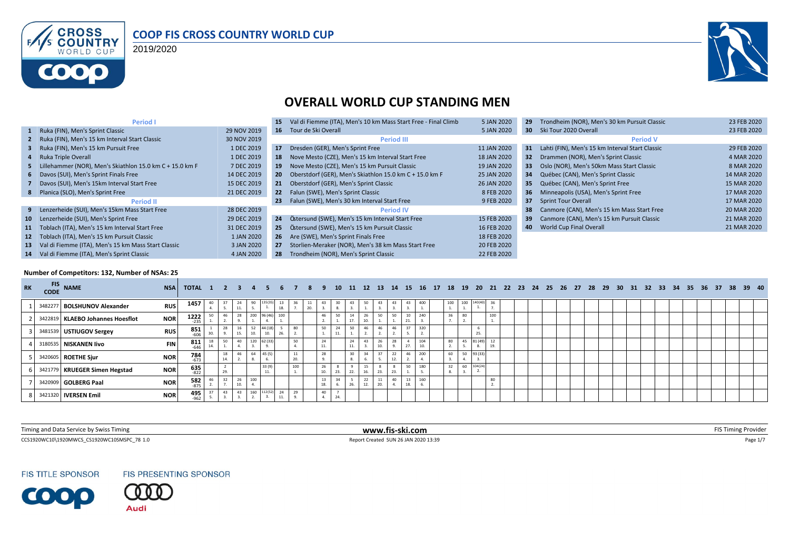

#### **COOP FIS CROSS COUNTRY WORLD CUP**

2019/2020



#### **OVERALL WORLD CUP STANDING MEN**

| Period I                                                      |             | 15              | Val di Fiemme (ITA), Men's 10 km Mass Start Free - Final Climb | 5 JAN 2020  | 29              | Trondheim (NOR), Men's 30 km Pursuit Classic    | 23 FEB 2020 |
|---------------------------------------------------------------|-------------|-----------------|----------------------------------------------------------------|-------------|-----------------|-------------------------------------------------|-------------|
| 1 Ruka (FIN), Men's Sprint Classic                            | 29 NOV 2019 |                 | 16 Tour de Ski Overall                                         | 5 JAN 2020  | 30 <sub>1</sub> | Ski Tour 2020 Overall                           | 23 FEB 2020 |
| 2 Ruka (FIN), Men's 15 km Interval Start Classic              | 30 NOV 2019 |                 | <b>Period III</b>                                              |             |                 | <b>Period V</b>                                 |             |
| 3 Ruka (FIN), Men's 15 km Pursuit Free                        | 1 DEC 2019  | 17              | Dresden (GER), Men's Sprint Free                               | 11 JAN 2020 | 31              | Lahti (FIN), Men's 15 km Interval Start Classic | 29 FEB 2020 |
| 4 Ruka Triple Overall                                         | 1 DEC 2019  | 18              | Nove Mesto (CZE), Men's 15 km Interval Start Free              | 18 JAN 2020 | 32 <sub>2</sub> | Drammen (NOR), Men's Sprint Classic             | 4 MAR 2020  |
| 5 Lillehammer (NOR), Men's Skiathlon 15.0 km C + 15.0 km F    | 7 DEC 2019  | 19              | Nove Mesto (CZE), Men's 15 km Pursuit Classic                  | 19 JAN 2020 | 33              | Oslo (NOR), Men's 50km Mass Start Classic       | 8 MAR 2020  |
| 6 Davos (SUI), Men's Sprint Finals Free                       | 14 DEC 2019 | 20 <sub>2</sub> | Oberstdorf (GER), Men's Skiathlon 15.0 km C + 15.0 km F        | 25 JAN 2020 | 34              | Québec (CAN), Men's Sprint Classic              | 14 MAR 2020 |
| 7 Davos (SUI), Men's 15km Interval Start Free                 | 15 DEC 2019 | 21              | Oberstdorf (GER), Men's Sprint Classic                         | 26 JAN 2020 | 35              | Québec (CAN), Men's Sprint Free                 | 15 MAR 2020 |
| 8 Planica (SLO), Men's Sprint Free                            | 21 DEC 2019 | 22 <sub>2</sub> | Falun (SWE), Men's Sprint Classic                              | 8 FEB 2020  | 36              | Minneapolis (USA), Men's Sprint Free            | 17 MAR 2020 |
| <b>Period II</b>                                              |             | 23 <sub>2</sub> | Falun (SWE), Men's 30 km Interval Start Free                   | 9 FEB 2020  | 37 <sub>z</sub> | <b>Sprint Tour Overall</b>                      | 17 MAR 2020 |
| Lenzerheide (SUI), Men's 15km Mass Start Free<br>9            | 28 DEC 2019 |                 | <b>Period IV</b>                                               |             | 38              | Canmore (CAN), Men's 15 km Mass Start Free      | 20 MAR 2020 |
| Lenzerheide (SUI), Men's Sprint Free<br>10                    | 29 DEC 2019 | 24              | Östersund (SWE), Men's 15 km Interval Start Free               | 15 FEB 2020 | 39              | Canmore (CAN), Men's 15 km Pursuit Classic      | 21 MAR 2020 |
| Toblach (ITA), Men's 15 km Interval Start Free<br>11          | 31 DEC 2019 | $25 -$          | Östersund (SWE), Men's 15 km Pursuit Classic                   | 16 FEB 2020 | 40              | <b>World Cup Final Overall</b>                  | 21 MAR 2020 |
| Toblach (ITA), Men's 15 km Pursuit Classic<br>12 <sup>7</sup> | 1 JAN 2020  | 26 <sup>2</sup> | Are (SWE), Men's Sprint Finals Free                            | 18 FEB 2020 |                 |                                                 |             |
| Val di Fiemme (ITA), Men's 15 km Mass Start Classic<br>13     | 3 JAN 2020  | 27              | Storlien-Meraker (NOR), Men's 38 km Mass Start Free            | 20 FEB 2020 |                 |                                                 |             |
| Val di Fiemme (ITA), Men's Sprint Classic<br>14               | 4 JAN 2020  | 28              | Trondheim (NOR), Men's Sprint Classic                          | 22 FEB 2020 |                 |                                                 |             |

#### **Number of Competitors: 132, Number of NSAs: 25**

| <b>RK</b> | FIS NAME                           | <b>NSA</b> | TOTAL 1 2 3 4 5 6 7 8 9 10 11 12 13 14 15 16 17 18 19 20 21 22 23 24 25 26 27 28 29 30 31 32 33 34 35 36 37 38 39 40 |           |     |           |             |                |                                          |           |          |           |     |           |                       |           |           |                    |            |     |     |          |          |  |  |  |  |  |  |  |  |  |
|-----------|------------------------------------|------------|----------------------------------------------------------------------------------------------------------------------|-----------|-----|-----------|-------------|----------------|------------------------------------------|-----------|----------|-----------|-----|-----------|-----------------------|-----------|-----------|--------------------|------------|-----|-----|----------|----------|--|--|--|--|--|--|--|--|--|
|           | 3482277 BOLSHUNOV Alexander        | <b>RUS</b> | 1457                                                                                                                 | 40        |     | 24<br>11  | 90          | 135(35         | $\begin{array}{c} 13 \\ 18. \end{array}$ |           | 11<br>20 | 43        | 30  |           |                       |           |           | 43                 | 400        | 100 | 100 | 140 (40) |          |  |  |  |  |  |  |  |  |  |
|           | 3422819   KLAEBO Johannes Hoesflot | <b>NOR</b> | $1222$<br>$235$                                                                                                      | 50        |     | 28        | 200 96 (46) |                | 100                                      |           |          | 46        | 50  | 14<br>17  | 26<br>10 <sup>1</sup> | 50        | 50        | 21<br>$\mathbf{A}$ |            |     |     |          | 100      |  |  |  |  |  |  |  |  |  |
|           | 3481539 USTIUGOV Sergey            | <b>RUS</b> | $851$ <sub>-606</sub>                                                                                                | 30.       |     | 16<br>15. | 52<br>10.   | 44 (18)<br>10. | 26.                                      |           |          | 50        | 11  | 50        | 46                    | 46        |           |                    | 320        |     |     | 25       |          |  |  |  |  |  |  |  |  |  |
|           | 3180535 NISKANEN livo              | <b>FIN</b> | $811$<br>$646$                                                                                                       | 18<br>14. | 50  | 40        | 120 62 (33) |                |                                          |           |          | 24<br>11. |     | 24<br>11. | 43                    | 26<br>10. |           |                    | 104<br>10. | 80  | 45  | 81 (49)  | 12<br>19 |  |  |  |  |  |  |  |  |  |
|           | 3420605 ROETHE Sjur                | <b>NOR</b> | $784$ <sub>673</sub>                                                                                                 |           | 14. | 46        | 64          | 45(5)          |                                          | 11<br>20. |          | 28        |     | 30        | 34                    |           | 22<br>12. |                    | 200        | 60  | 50  | 93 (3)   |          |  |  |  |  |  |  |  |  |  |
|           | 3421779 KRUEGER Simen Hegstad      | <b>NOR</b> | $635$ <sub>-822</sub>                                                                                                |           | 29. |           |             | 33 (9)<br>11.  |                                          | 100       |          | 26<br>10. | 23  | 22.       |                       | 23.       | 23.       | 50                 |            |     |     | 104(24   |          |  |  |  |  |  |  |  |  |  |
|           | 3420909 GOLBERG Paal               | <b>NOR</b> | 582                                                                                                                  |           |     | 26<br>10. | 100         |                |                                          |           |          | 13<br>18. |     | 26.       | 22<br>12.             | 11<br>20. | 40        | 13<br>18.          | 160        |     |     |          | 80       |  |  |  |  |  |  |  |  |  |
|           | 3421320   IVERSEN Emil             | <b>NOR</b> | 495<br>-962                                                                                                          | 37        | 43  | 43        | 160 112(52) |                | 24<br>11.                                | 29        |          | 40        | 24. |           |                       |           |           |                    |            |     |     |          |          |  |  |  |  |  |  |  |  |  |

| Timing and Data<br>rice by Swiss Timing                           | www.fis-ski.com | ווענ   |
|-------------------------------------------------------------------|-----------------|--------|
| CCS1920WC10\1920MWCS<br>ು US1920WC10SMSP∩ <sup>−1</sup><br>78 1.0 | AN 2020 13:39،  | dge 1/ |

**FIS TITLE SPONSOR** 



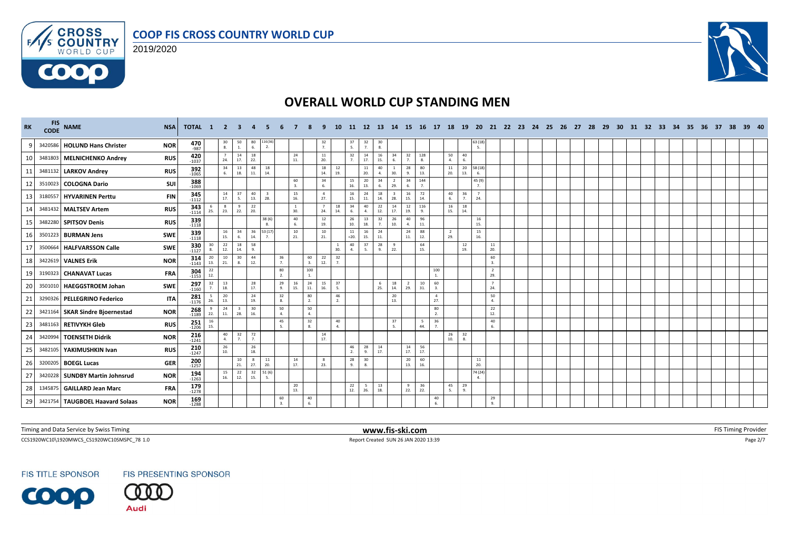





| RK           | CODE | FIS NAME                        | <b>NSA</b> | <b>TOTAL 1 2 3</b>     |           |                                         |                                         |                                         |                           |                                         |                     |                                                       |                      | -11-                                    | -12                | - 13                                    | - 14          | 15 <sup>1</sup>       | 16 17                 | - 18                  | - 19                                    | - 20                  |                       | 21 22 23 24 | - 25 | - 26 | - 27 | -28 | - 29 | - 30 - | 31 32 33 |  | 34 35 | -36 | - 37 | -38 | 39 40 |  |
|--------------|------|---------------------------------|------------|------------------------|-----------|-----------------------------------------|-----------------------------------------|-----------------------------------------|---------------------------|-----------------------------------------|---------------------|-------------------------------------------------------|----------------------|-----------------------------------------|--------------------|-----------------------------------------|---------------|-----------------------|-----------------------|-----------------------|-----------------------------------------|-----------------------|-----------------------|-------------|------|------|------|-----|------|--------|----------|--|-------|-----|------|-----|-------|--|
| $\mathbf{q}$ |      | 3420586 HOLUND Hans Christer    | <b>NOR</b> | 470<br>-987            |           | $\frac{30}{8}$                          | $\begin{array}{c} 50 \\ 1. \end{array}$ | $\begin{array}{c} 80 \\ 6. \end{array}$ | 16(36<br>$\overline{2}$ . |                                         |                     | $\frac{32}{7}$                                        |                      | $\begin{array}{c} 37 \\ 5. \end{array}$ | $\frac{32}{7}$     | $\begin{array}{c} 30 \\ 8. \end{array}$ |               |                       |                       |                       |                                         | 63 (18<br>5.          |                       |             |      |      |      |     |      |        |          |  |       |     |      |     |       |  |
| 10           |      | 3481803 MELNICHENKO Andrey      | <b>RUS</b> | 420<br>$-1037$         |           | $\overline{7}$<br>24.                   | 14<br>17.                               | 18<br>22.                               |                           |                                         | 24<br>11.           | 11<br>20.                                             |                      | 32<br>$\overline{7}$                    | 14<br>17.          | 16<br>15.                               | 34            | 32<br>$\overline{7}$  | 128<br>8.             | 50<br>4.              | 40<br>6.                                |                       |                       |             |      |      |      |     |      |        |          |  |       |     |      |     |       |  |
| 11           |      | 3481132 LARKOV Andrey           | <b>RUS</b> | 392<br>$-1065$         |           | 34<br>6.                                | 13<br>18.                               | 48<br>11.                               | 18<br>14.                 |                                         |                     | $18\,$<br>14.                                         | 12<br>19.            |                                         | 11<br>20.          | 40<br>$\overline{A}$                    | 30            | 28<br>9.              | 80<br>13.             | 11<br>20.             | $20\,$<br>13.                           | 58 (18)<br>6.         |                       |             |      |      |      |     |      |        |          |  |       |     |      |     |       |  |
| 12           |      | 3510023 COLOGNA Dario           | SUI        | 388<br>$-1069$         |           |                                         |                                         |                                         |                           |                                         | 60<br>3.            | 34<br>6.                                              |                      | 15<br>16.                               | 20<br>13.          | 34<br>6.                                | -2<br>29.     | 34<br>6.              | 144<br>$\overline{7}$ |                       |                                         | 45 (9)<br>7.          |                       |             |      |      |      |     |      |        |          |  |       |     |      |     |       |  |
| 13           |      | 3180557 HYVARINEN Perttu        | <b>FIN</b> | 345<br>$-1112$         |           | 14<br>17.                               | 37<br>5.                                | 40<br>13.                               | 28.                       |                                         | 15<br>16.           | $\overline{4}$<br>27.                                 |                      | 16<br>15.                               | 24<br>11.          | 18<br>14.                               | 28.           | 16<br>15.             | 72<br>14.             | 6.                    | 40<br>36<br>7.                          | $\overline{7}$<br>24. |                       |             |      |      |      |     |      |        |          |  |       |     |      |     |       |  |
| 14           |      | 3481432 MALTSEV Artem           | <b>RUS</b> | $343 - 1114$           | 25.       | 8<br>23.                                | 9<br>22.                                | 22<br>20.                               |                           |                                         | <sup>1</sup><br>30. | $\overline{7}$<br>24.                                 | 18<br>14.            | 34<br>6.                                | 40<br>$\mathbf{A}$ | 22<br>12.                               | 14<br>17.     | 12<br>19.             | 116<br>$\mathbf{q}$   | 16<br>15.             | 18<br>14.                               |                       |                       |             |      |      |      |     |      |        |          |  |       |     |      |     |       |  |
| 15           |      | 3482280 SPITSOV Denis           | <b>RUS</b> | 339<br>$-1118$         |           |                                         |                                         |                                         | 38 (6)<br>-8.             |                                         | 40<br>6.            | 12<br>19.                                             |                      | 26<br>10.                               | 13<br>18.          | 32<br>7.                                | 26<br>10.     | 40<br>4.              | 96<br>$11.$           |                       |                                         | 16<br>15.             |                       |             |      |      |      |     |      |        |          |  |       |     |      |     |       |  |
| 16           |      | 3501223 BURMAN Jens             | <b>SWE</b> | 339<br>$-1118$         |           | 16<br>15.                               | 34<br>6.                                | 36<br>14.                               | 53 (17                    |                                         | 10<br>21.           | 10<br>21.                                             |                      | 11<br>$=20.$                            | 16<br>15.          | 24<br>11.                               |               | 24<br>11.             | 88<br>12.             | 2<br>29.              |                                         | 15<br>16.             |                       |             |      |      |      |     |      |        |          |  |       |     |      |     |       |  |
| 17           |      | 3500664 HALFVARSSON Calle       | SWE        | 330                    | 30        | $\begin{array}{c} 22 \\ 12 \end{array}$ | 18<br>14.                               | 58<br>9.                                |                           |                                         |                     |                                                       | 1<br>30.             | 40<br>$\mathbf{A}$                      | 37<br><b>5.</b>    | 28<br>9.                                | 9<br>22.      |                       | 64<br>15.             |                       | $\frac{12}{19}$                         |                       | 11<br>20.             |             |      |      |      |     |      |        |          |  |       |     |      |     |       |  |
| 18           |      | 3422619 VALNES Erik             | <b>NOR</b> | 314<br>$-1143$         | 20<br>13. | 10<br>21.                               | 30<br>8.                                | 44<br>12.                               |                           | $\frac{36}{7}$                          | $\mathbf{3}$        | 22<br>60<br>12.                                       | 32<br>$\overline{7}$ |                                         |                    |                                         |               |                       |                       |                       |                                         |                       | 60<br>$\overline{3}$  |             |      |      |      |     |      |        |          |  |       |     |      |     |       |  |
| 19           |      | 3190323 CHANAVAT Lucas          | <b>FRA</b> | $304$<br>$-1153$       | 22<br>12. |                                         |                                         |                                         |                           | 80<br>2.                                |                     | 100<br><sup>1</sup>                                   |                      |                                         |                    |                                         |               |                       |                       | 100<br>$\mathbf{1}$   |                                         |                       | $\overline{2}$<br>29. |             |      |      |      |     |      |        |          |  |       |     |      |     |       |  |
| 20           |      | 3501010 HAEGGSTROEM Johan       | SWE        | 297<br>$-1160$         | 32        | 13<br>18.                               |                                         | $\frac{28}{17}$                         |                           | 29<br>9.                                | 16<br>15.           | 24<br>$\begin{array}{c} 15 \\ 16. \end{array}$<br>11. | 37<br>-5.            |                                         |                    | - 6<br>25.                              | 18<br>14.     | $\overline{2}$<br>29. | $10\,$<br>31.         | 60<br>$\mathbf{3}$    |                                         |                       | $\overline{7}$<br>24. |             |      |      |      |     |      |        |          |  |       |     |      |     |       |  |
| 21           |      | 3290326 PELLEGRINO Federico     | <b>ITA</b> | 281<br>$-1176$         | 26.       | 20<br>13.                               |                                         | 24<br>19.                               |                           | $\begin{array}{c} 32 \\ 8. \end{array}$ |                     | 80<br>2.                                              | 46<br>$\overline{2}$ |                                         |                    |                                         | $20\,$<br>13. |                       |                       | $\overline{4}$<br>27. |                                         |                       | 50<br>4.              |             |      |      |      |     |      |        |          |  |       |     |      |     |       |  |
| 22           |      | 3421164 SKAR Sindre Bjoernestad | <b>NOR</b> | $268$<br>-1189         | 22.       | 24<br>11.                               | 28.                                     | 30<br>16.                               |                           | 50<br>4.                                |                     | 50<br>4.                                              |                      |                                         |                    |                                         |               |                       |                       | 80<br>2.              |                                         |                       | 22<br>12.             |             |      |      |      |     |      |        |          |  |       |     |      |     |       |  |
| 23           |      | 3481163 RETIVYKH Gleb           | <b>RUS</b> | 251<br>$-1206$         | 16<br>15. |                                         |                                         |                                         |                           | 45                                      |                     | 32<br>8.                                              | 40<br>$\overline{a}$ |                                         |                    |                                         | 37<br>-5.     |                       | 5<br>44.              | 36<br>7 <sub>1</sub>  |                                         |                       | 40<br>$\mathsf{f}$    |             |      |      |      |     |      |        |          |  |       |     |      |     |       |  |
| 24           |      | 3420994 TOENSETH Didrik         | <b>NOR</b> | 216<br>$-1241$         |           | 40<br>4.                                | 32<br>7.                                | 72<br>7.                                |                           |                                         |                     | 14<br>17.                                             |                      |                                         |                    |                                         |               |                       |                       | 26<br>10.             | $\begin{array}{c} 32 \\ 8. \end{array}$ |                       |                       |             |      |      |      |     |      |        |          |  |       |     |      |     |       |  |
| 25           |      | 3482105 YAKIMUSHKIN Ivan        | <b>RUS</b> | $210$ <sub>-1247</sub> |           | 26<br>10.                               |                                         | 26<br>18.                               |                           |                                         |                     |                                                       |                      | 46<br>2.                                | 28<br>9.           | 14<br>17.                               |               | 14<br>17.             | 56<br>17.             |                       |                                         |                       |                       |             |      |      |      |     |      |        |          |  |       |     |      |     |       |  |
| 26           |      | 3200205 BOEGL Lucas             | <b>GER</b> | $200 - 1257$           |           |                                         | 10<br>21                                | 8<br>27.                                | 11<br>20.                 |                                         | 14<br>17.           | 8<br>23.                                              |                      | 28<br>9.                                | 30<br>8.           |                                         |               | 20<br>13.             | 60<br>16.             |                       |                                         | 11<br>20.             |                       |             |      |      |      |     |      |        |          |  |       |     |      |     |       |  |
| 27           |      | 3420228 SUNDBY Martin Johnsrud  | <b>NOR</b> | $194 - 1263$           |           | 15<br>16.                               | 22<br>12.                               | 32<br>15.                               | 51(6)<br>-5.              |                                         |                     |                                                       |                      |                                         |                    |                                         |               |                       |                       |                       |                                         | 74 (24)               |                       |             |      |      |      |     |      |        |          |  |       |     |      |     |       |  |
| 28           |      | 1345875 GAILLARD Jean Marc      | <b>FRA</b> | $179 - 1278$           |           |                                         |                                         |                                         |                           |                                         | 20<br>13.           |                                                       |                      | 22<br>12.                               | 5<br>26.           | 13<br>18.                               |               | 9<br>22.              | 36<br>22.             | 45<br>-5.             | 29<br>9.                                |                       |                       |             |      |      |      |     |      |        |          |  |       |     |      |     |       |  |
| 29           |      | 3421754 TAUGBOEL Haavard Solaas | <b>NOR</b> | 169<br>$-1288$         |           |                                         |                                         |                                         |                           | 60                                      |                     | 40<br>6.                                              |                      |                                         |                    |                                         |               |                       |                       | 40                    |                                         |                       | 29<br>9.              |             |      |      |      |     |      |        |          |  |       |     |      |     |       |  |

Timing and Data Service by Swiss Timing **EXTIMING 2008 WWW.fis-ski.com WWW.fis-ski.com** FIS Timing Provider

CCS1920WC10\1920MWCS\_CS1920WC10SMSPC\_78 1.0 Report Created SUN 26 JAN 2020 13:39 Page 2/7

**FIS TITLE SPONSOR** 

FIS PRESENTING SPONSOR

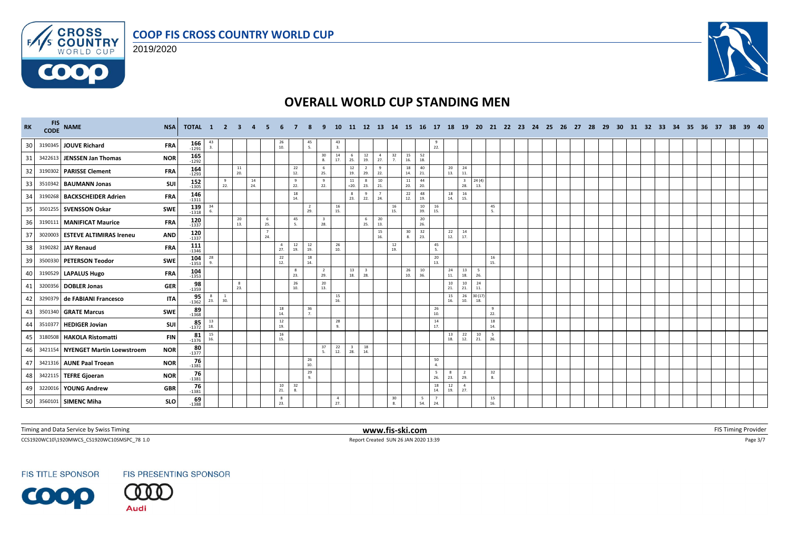





| RK | FIS NAME                          | <b>NSA</b> | <b>TOTAL 1 2 3</b>     |           |                     |                   |           |                       |                                          |                                                       |                                | <b>10</b>             |                                |                     |                       |                      |                 |           |                                |                                |                |            |  |  |  |  |  |  | 11 12 13 14 15 16 17 18 19 20 21 22 23 24 25 26 27 28 29 30 31 32 33 34 35 36 37 |  | 38 39 40 |  |
|----|-----------------------------------|------------|------------------------|-----------|---------------------|-------------------|-----------|-----------------------|------------------------------------------|-------------------------------------------------------|--------------------------------|-----------------------|--------------------------------|---------------------|-----------------------|----------------------|-----------------|-----------|--------------------------------|--------------------------------|----------------|------------|--|--|--|--|--|--|----------------------------------------------------------------------------------|--|----------|--|
| 30 | 3190345 JOUVE Richard             | <b>FRA</b> | $166$<br>-1291         | 43        |                     |                   |           |                       | $\begin{array}{c} 26 \\ 10. \end{array}$ | $\frac{45}{5}$                                        |                                | $\frac{43}{3}$        |                                |                     |                       |                      |                 |           | $\frac{9}{22}$ .               |                                |                |            |  |  |  |  |  |  |                                                                                  |  |          |  |
| 31 | 3422613 JENSSEN Jan Thomas        | <b>NOR</b> | $165$<br>$-1292$       |           |                     |                   |           |                       |                                          |                                                       | 30<br>8.                       | 14<br>17.             | 6<br>25.                       | 12<br>19.           | $\overline{4}$<br>27. | 32<br>$\overline{7}$ | 15<br>16.       | 52<br>18. |                                |                                |                |            |  |  |  |  |  |  |                                                                                  |  |          |  |
| 32 | 3190302 PARISSE Clement           | <b>FRA</b> | 164<br>$-1293$         |           |                     | 11<br>20.         |           |                       |                                          | 22<br>12.                                             | 6<br>25.                       |                       | 12<br>19.                      | 2<br>29.            | 9<br>22.              |                      | 18<br>14.       | 40<br>21. | 20<br>13.                      | 24<br>$\bf 11.$                |                |            |  |  |  |  |  |  |                                                                                  |  |          |  |
| 33 | 3510342 BAUMANN Jonas             | SUI        | $152 - 1305$           |           | $\frac{9}{22}$      |                   | 14<br>24. |                       |                                          | 9<br>22.                                              | 9<br>22.                       |                       | 11<br>$=20.$                   | $\mathbf{R}$<br>23. | 10<br>21.             |                      | $\frac{11}{20}$ | 44<br>20. |                                | $\overline{\mathbf{3}}$<br>28. | 24(4)<br>13.   |            |  |  |  |  |  |  |                                                                                  |  |          |  |
| 34 | 3190268 BACKSCHEIDER Adrien       | <b>FRA</b> | 146<br>$-1311$         |           |                     |                   |           |                       |                                          | 18<br>14.                                             |                                |                       | 8<br>23.                       | 9<br>22.            | 24.                   |                      | 22<br>12.       | 48<br>19. | 18<br>14.                      | 16<br>15.                      |                |            |  |  |  |  |  |  |                                                                                  |  |          |  |
| 35 | 3501255 SVENSSON Oskar            | SWE        | $139$ <sup>-1318</sup> | 34        |                     |                   |           |                       |                                          | $\overline{2}$<br>29.                                 |                                | 16<br>15.             |                                |                     |                       | 16<br>15.            |                 | 10<br>39. | 16<br>15.                      |                                |                | 45         |  |  |  |  |  |  |                                                                                  |  |          |  |
| 36 | 3190111 MANIFICAT Maurice         | <b>FRA</b> | 120<br>$-1337$         |           |                     | 20<br>13.         |           | 6<br>25.              |                                          | 45<br>5.                                              | $\overline{\mathbf{3}}$<br>28. |                       |                                | 6<br>25.            | 20<br>13.             |                      |                 | 20<br>26. |                                |                                |                |            |  |  |  |  |  |  |                                                                                  |  |          |  |
| 37 | 3020003 ESTEVE ALTIMIRAS Ireneu   | <b>AND</b> | 120<br>$-1337$         |           |                     |                   |           | $\overline{7}$<br>24. |                                          |                                                       |                                |                       |                                |                     | 15<br>16.             |                      | 30<br>8.        | 32<br>23. | 22<br>12.                      | 14<br>17.                      |                |            |  |  |  |  |  |  |                                                                                  |  |          |  |
| 38 | 3190282 JAY Renaud                | <b>FRA</b> | 111<br>$-1346$         |           |                     |                   |           |                       | $\overline{4}$<br>27.                    | $\begin{array}{c} 12 \\ 19. \end{array}$<br>12<br>19. |                                | 26<br>10.             |                                |                     |                       | 12<br>19.            |                 |           | 45<br>5.                       |                                |                |            |  |  |  |  |  |  |                                                                                  |  |          |  |
| 39 | 3500330 PETERSON Teodor           | <b>SWE</b> | $104 - 1353$           | 28        |                     |                   |           |                       | 22<br>12.                                | 18<br>14.                                             |                                |                       |                                |                     |                       |                      |                 |           | 20<br>13.                      |                                |                | 16<br>15.  |  |  |  |  |  |  |                                                                                  |  |          |  |
| 40 | 3190529 LAPALUS Hugo              | <b>FRA</b> | $104$<br>$-1353$       |           |                     |                   |           |                       |                                          | 8<br>23.                                              | $\overline{2}$<br>29.          |                       | 13<br>18.                      | 3<br>28.            |                       |                      | 26<br>10.       | 10<br>36. | 24<br>11.                      | 13<br>18.                      | 26.            |            |  |  |  |  |  |  |                                                                                  |  |          |  |
| 41 | 3200356 DOBLER Jonas              | <b>GER</b> | $98 - 1359$            |           |                     | $_{\rm 8}$<br>23. |           |                       |                                          | 26<br>10.                                             | 20<br>13.                      |                       |                                |                     |                       |                      |                 |           | 10<br>21.                      | 10<br>21.                      | 24<br>11.      |            |  |  |  |  |  |  |                                                                                  |  |          |  |
| 42 | 3290379 de FABIANI Francesco      | <b>ITA</b> | $95 - 1362$            | 23.       | <sup>1</sup><br>30. |                   |           |                       |                                          |                                                       |                                | 15<br>16.             |                                |                     |                       |                      |                 |           | 15<br>16.                      | 26<br>10.                      | 30 (17)<br>18. |            |  |  |  |  |  |  |                                                                                  |  |          |  |
| 43 | 3501340 GRATE Marcus              | SWE        | $89 - 1368$            |           |                     |                   |           |                       | 18<br>14.                                | 36<br>$\overline{7}$                                  |                                |                       |                                |                     |                       |                      |                 |           | 26<br>10.                      |                                |                | 9<br>22.   |  |  |  |  |  |  |                                                                                  |  |          |  |
| 44 | 3510377 HEDIGER Jovian            | SUI        | $85 - 1372$            | 13<br>18. |                     |                   |           |                       | 12<br>19.                                |                                                       |                                | 28<br>9               |                                |                     |                       |                      |                 |           | 14<br>17.                      |                                |                | 18<br>14.  |  |  |  |  |  |  |                                                                                  |  |          |  |
| 45 | 3180508 HAKOLA Ristomatti         | <b>FIN</b> | $81$<br>$1376$         | 15<br>16. |                     |                   |           |                       | 16<br>15.                                |                                                       |                                |                       |                                |                     |                       |                      |                 |           | 13<br>18.                      | $^{22}_{12}$                   | 10<br>21.      | - 5<br>26. |  |  |  |  |  |  |                                                                                  |  |          |  |
| 46 | 3421154 NYENGET Martin Loewstroem | <b>NOR</b> | $80 - 1377$            |           |                     |                   |           |                       |                                          |                                                       | 37<br>5.                       | 22<br>12.             | $\overline{\mathbf{3}}$<br>28. | 18<br>14.           |                       |                      |                 |           |                                |                                |                |            |  |  |  |  |  |  |                                                                                  |  |          |  |
| 47 | 3421316 AUNE Paal Troean          | <b>NOR</b> | 76<br>$-1381$          |           |                     |                   |           |                       |                                          | 26<br>10.                                             |                                |                       |                                |                     |                       |                      |                 |           | 50<br>4.                       |                                |                |            |  |  |  |  |  |  |                                                                                  |  |          |  |
| 48 | 3422115   TEFRE Gjoeran           | <b>NOR</b> | $76 - 1381$            |           |                     |                   |           |                       |                                          | 29<br>9.                                              |                                |                       |                                |                     |                       |                      |                 |           | $5^{\circ}$<br>8<br>26.<br>23. | $\overline{2}$<br>29.          |                | 32<br>8.   |  |  |  |  |  |  |                                                                                  |  |          |  |
| 49 | 3220016 YOUNG Andrew              | <b>GBR</b> | $76 - 1381$            |           |                     |                   |           |                       | 10<br>21.                                | 32<br>8.                                              |                                |                       |                                |                     |                       |                      |                 |           | 18<br>12<br>14.<br>19.         | $\overline{4}$<br>27.          |                |            |  |  |  |  |  |  |                                                                                  |  |          |  |
| 50 | 3560101 SIMENC Miha               | <b>SLO</b> | $69 - 1388$            |           |                     |                   |           |                       | 8<br>23.                                 |                                                       |                                | $\overline{4}$<br>27. |                                |                     |                       | 30<br>8.             |                 | 5<br>54.  | $\overline{7}$<br>24.          |                                |                | 15<br>16.  |  |  |  |  |  |  |                                                                                  |  |          |  |

Timing and Data Service by Swiss Timing **EXTIMING 2008 WWW.fis-ski.com WWW.fis-ski.com** FIS Timing Provider

CCS1920WC10\1920MWCS\_CS1920WC10SMSPC\_78 1.0 Report Created SUN 26 JAN 2020 13:39 Page 3/7

**FIS TITLE SPONSOR** 

FIS PRESENTING SPONSOR

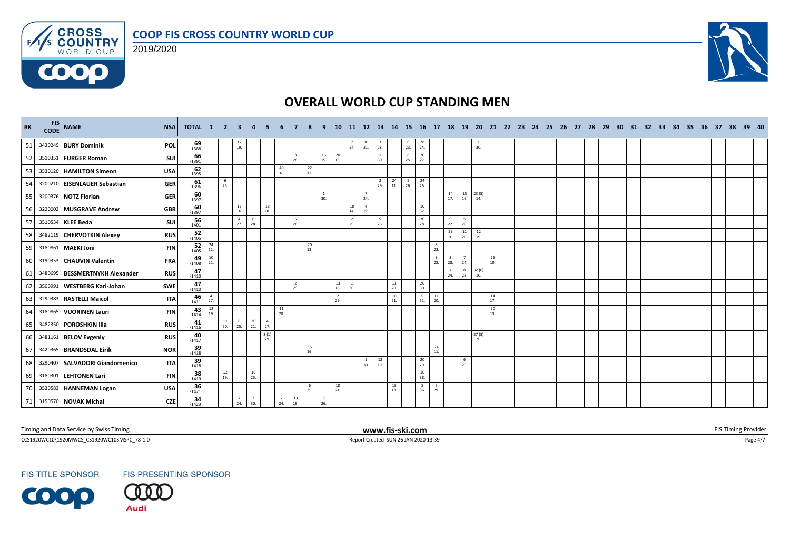

2019/2020



# **OVERALL WORLD CUP STANDING MEN**

| RK | FIS NAME                       | <b>NSA</b> | <b>TOTAL 1 2 3</b>    |                       |                                         |                                         | $\mathbf{A}$          |                       |                                          |            |                        | 10                                       | <b>11</b>             | 12 13 14              |                                          |                 |                                        | 15 16 17                                 |                                     | <b>18</b><br>- 19 | - 20                      |                                          |  | 21 22 23 24 25 26 27 |  | - 28 | 29 30 |  | 31 32 33 34 35 |  | 36 37 |  | 38 39 40 |
|----|--------------------------------|------------|-----------------------|-----------------------|-----------------------------------------|-----------------------------------------|-----------------------|-----------------------|------------------------------------------|------------|------------------------|------------------------------------------|-----------------------|-----------------------|------------------------------------------|-----------------|----------------------------------------|------------------------------------------|-------------------------------------|-------------------|---------------------------|------------------------------------------|--|----------------------|--|------|-------|--|----------------|--|-------|--|----------|
| 51 | 3430249 BURY Dominik           | <b>POL</b> | $69 - 1388$           |                       |                                         | $\begin{array}{c} 12 \\ 19 \end{array}$ |                       |                       |                                          |            |                        |                                          | 24.                   | $\frac{10}{21}$       | $\frac{3}{28}$                           |                 | $\frac{8}{23}$ .                       | $\frac{28}{24}$                          |                                     |                   | 1<br>30.                  |                                          |  |                      |  |      |       |  |                |  |       |  |          |
| 52 | 3510351 FURGER Roman           | SUI        | 66<br>$-1391$         |                       |                                         |                                         |                       |                       |                                          | 3<br>28.   | 16                     | 20<br>15. 13.                            |                       |                       | $\mathbf{1}$<br>30.                      |                 | $\begin{array}{c} 6 \\ 25 \end{array}$ | 20<br>27.                                |                                     |                   |                           |                                          |  |                      |  |      |       |  |                |  |       |  |          |
| 53 | 3530120 HAMILTON Simeon        | <b>USA</b> | 62<br>$-1395$         |                       |                                         |                                         |                       |                       | 40<br>6.                                 | 22<br>12.  |                        |                                          |                       |                       |                                          |                 |                                        |                                          |                                     |                   |                           |                                          |  |                      |  |      |       |  |                |  |       |  |          |
| 54 | 3200210 EISENLAUER Sebastian   | <b>GER</b> | $61 - 1396$           |                       | $\begin{array}{c} 6 \\ 25. \end{array}$ |                                         |                       |                       |                                          |            |                        |                                          |                       |                       | $\frac{2}{29}$ .                         | 24<br>$\bf 11.$ | $\frac{5}{26}$                         | 24<br>25.                                |                                     |                   |                           |                                          |  |                      |  |      |       |  |                |  |       |  |          |
| 55 | 3200376 NOTZ Florian           | <b>GER</b> | 60<br>$-1397$         |                       |                                         |                                         |                       |                       |                                          |            | 1<br>30.               |                                          |                       | $\overline{7}$<br>24. |                                          |                 |                                        |                                          |                                     | 14<br>17.         | 15<br>23(5)<br>16.<br>14. |                                          |  |                      |  |      |       |  |                |  |       |  |          |
| 56 | 3220002 MUSGRAVE Andrew        | <b>GBR</b> | 60<br>$-1397$         |                       |                                         | 15<br>16.                               |                       | 13<br>18.             |                                          |            |                        |                                          | 18<br>14.             | $\overline{4}$<br>27. |                                          |                 |                                        | 10<br>32.                                |                                     |                   |                           |                                          |  |                      |  |      |       |  |                |  |       |  |          |
| 57 | 3510534 KLEE Beda              | SUI        | 56<br>$-1401$         |                       |                                         | $\overline{4}$<br>27.                   | 6<br>28.              |                       |                                          | -5<br>26.  |                        |                                          | $\overline{2}$<br>29. |                       | - 5<br>26.                               |                 |                                        | $\begin{array}{c} 20 \\ 28. \end{array}$ | 9                                   | 5<br>26.<br>22.   |                           |                                          |  |                      |  |      |       |  |                |  |       |  |          |
| 58 | 3482119 CHERVOTKIN Alexey      | <b>RUS</b> | $\frac{52}{-1405}$    |                       |                                         |                                         |                       |                       |                                          |            |                        |                                          |                       |                       |                                          |                 |                                        |                                          | 29<br>$\mathbf{q}$                  | 11<br>20.         | 12<br>19.                 |                                          |  |                      |  |      |       |  |                |  |       |  |          |
| 59 | 3180861 MAEKI Joni             | <b>FIN</b> | $52$<br>-1405         | 24<br>11.             |                                         |                                         |                       |                       |                                          | 20<br>13.  |                        |                                          |                       |                       |                                          |                 |                                        |                                          | 8<br>23.                            |                   |                           |                                          |  |                      |  |      |       |  |                |  |       |  |          |
| 60 | 3190353 CHAUVIN Valentin       | <b>FRA</b> | $49$ <sub>-1408</sub> | 10<br>21.             |                                         |                                         |                       |                       |                                          |            |                        |                                          |                       |                       |                                          |                 |                                        |                                          | $\overline{\mathbf{3}}$<br>3<br>28. | 7<br>28.<br>24.   |                           | $\begin{array}{c} 26 \\ 10. \end{array}$ |  |                      |  |      |       |  |                |  |       |  |          |
| 61 | 3480695 BESSMERTNYKH Alexander | <b>RUS</b> | 47<br>$-1410$         |                       |                                         |                                         |                       |                       |                                          |            |                        |                                          |                       |                       |                                          |                 |                                        |                                          |                                     | 8<br>23.<br>24.   | 32(6)<br>10.              |                                          |  |                      |  |      |       |  |                |  |       |  |          |
| 62 | 3500991   WESTBERG Karl-Johan  | SWE        | 47<br>$-1410$         |                       |                                         |                                         |                       |                       |                                          | 2<br>29.   |                        | $\begin{array}{c} 13 \\ 18. \end{array}$ | 1<br>30.              |                       |                                          | $\frac{11}{20}$ |                                        | $\frac{20}{30}$                          |                                     |                   |                           |                                          |  |                      |  |      |       |  |                |  |       |  |          |
| 63 | 3290383 RASTELLI Maicol        | <b>ITA</b> | 46<br>$-1411$         | $\overline{a}$<br>27. |                                         |                                         |                       |                       |                                          |            |                        | $\overline{2}$<br>29.                    |                       |                       |                                          | 10<br>21.       |                                        | 5<br>51.                                 | $\frac{11}{20}$                     |                   |                           | 14<br>17.                                |  |                      |  |      |       |  |                |  |       |  |          |
| 64 | 3180865 VUORINEN Lauri         | <b>FIN</b> | $43 - 1414$           | 12<br>19.             |                                         |                                         |                       |                       | $\begin{array}{c} 11 \\ 20. \end{array}$ |            |                        |                                          |                       |                       |                                          |                 |                                        |                                          |                                     |                   |                           | 20<br>13.                                |  |                      |  |      |       |  |                |  |       |  |          |
| 65 | 3482350 POROSHKIN Ilia         | <b>RUS</b> | 41<br>$-1416$         |                       | 11<br>20.                               | - 6<br>25.                              | 20<br>21.             | $\overline{4}$<br>27. |                                          |            |                        |                                          |                       |                       |                                          |                 |                                        |                                          |                                     |                   |                           |                                          |  |                      |  |      |       |  |                |  |       |  |          |
| 66 | 3481161 BELOV Evgeniy          | <b>RUS</b> | $40 - 1417$           |                       |                                         |                                         |                       | 3(1)<br>29.           |                                          |            |                        |                                          |                       |                       |                                          |                 |                                        |                                          |                                     |                   | 37(8)<br>9.               |                                          |  |                      |  |      |       |  |                |  |       |  |          |
| 67 | 3420365 BRANDSDAL Eirik        | <b>NOR</b> | $39$ <sub>1418</sub>  |                       |                                         |                                         |                       |                       |                                          | 15<br>16.  |                        |                                          |                       |                       |                                          |                 |                                        |                                          | 24<br>11.                           |                   |                           |                                          |  |                      |  |      |       |  |                |  |       |  |          |
| 68 | 3290407 SALVADORI Giandomenico | <b>ITA</b> | 39<br>$-1418$         |                       |                                         |                                         |                       |                       |                                          |            |                        |                                          |                       | 1<br>30.              | $\begin{array}{c} 12 \\ 19. \end{array}$ |                 |                                        | 20<br>29.                                |                                     |                   | $\frac{6}{25}$            |                                          |  |                      |  |      |       |  |                |  |       |  |          |
| 69 | 3180301 LEHTONEN Lari          | <b>FIN</b> | $38 - 1419$           |                       | 12<br>19.                               |                                         | $\frac{16}{23}$       |                       |                                          |            |                        |                                          |                       |                       |                                          |                 |                                        | 10<br>38.                                |                                     |                   |                           |                                          |  |                      |  |      |       |  |                |  |       |  |          |
| 70 | 3530583 HANNEMAN Logan         | <b>USA</b> | $36 - 1421$           |                       |                                         |                                         |                       |                       |                                          | - 6<br>25. |                        | 10<br>21.                                |                       |                       |                                          | 13<br>18.       |                                        | 5<br>56.                                 | $\overline{2}$<br>29.               |                   |                           |                                          |  |                      |  |      |       |  |                |  |       |  |          |
| 71 | 3150570 NOVAK Michal           | <b>CZE</b> | $34 - 1423$           |                       |                                         | $\overline{7}$<br>24.                   | $\overline{2}$<br>30. |                       | 7<br>24.                                 | 13<br>18.  | $5\overline{5}$<br>26. |                                          |                       |                       |                                          |                 |                                        |                                          |                                     |                   |                           |                                          |  |                      |  |      |       |  |                |  |       |  |          |

Timing and Data Service by Swiss Timing **EXTIMING 2008 WWW.fis-ski.com WWW.fis-ski.com** FIS Timing Provider

CCS1920WC10\1920MWCS\_CS1920WC10SMSPC\_78 1.0 Report Created SUN 26 JAN 2020 13:39 Page 4/7

**FIS TITLE SPONSOR** 

FIS PRESENTING SPONSOR

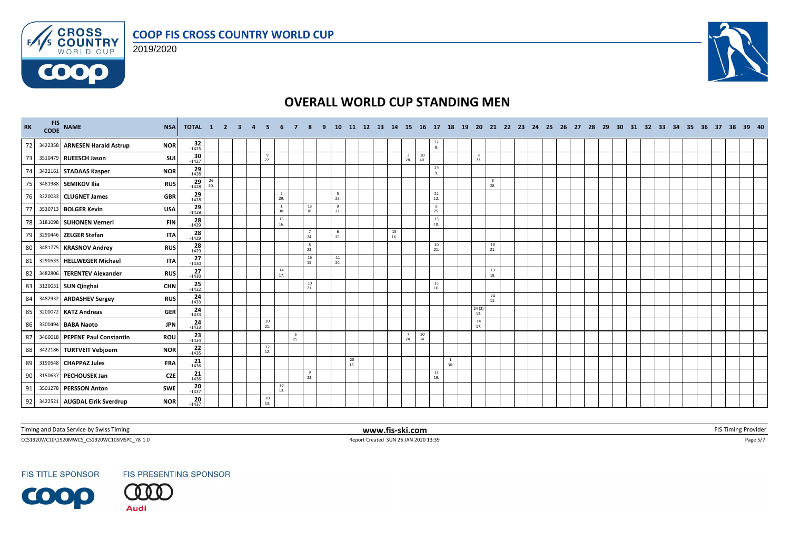





| RK | FIS NAME                       | <b>NSA</b> | <b>TOTAL 1 2 3</b>    |           |  |                 |                                          |          |                                          | 10              |           |  |           |                |               |                                         |              |                                          |  | 11 12 13 14 15 16 17 18 19 20 21 22 23 24 25 26 27 28 |  | - 29 |  |  | 30 31 32 33 34 35 36 37 |  | 38 39 40 |  |
|----|--------------------------------|------------|-----------------------|-----------|--|-----------------|------------------------------------------|----------|------------------------------------------|-----------------|-----------|--|-----------|----------------|---------------|-----------------------------------------|--------------|------------------------------------------|--|-------------------------------------------------------|--|------|--|--|-------------------------|--|----------|--|
| 72 | 3422358 ARNESEN Harald Astrup  | <b>NOR</b> | $32 - 1425$           |           |  |                 |                                          |          |                                          |                 |           |  |           |                |               | $\begin{array}{c} 32 \\ 8. \end{array}$ |              |                                          |  |                                                       |  |      |  |  |                         |  |          |  |
| 73 | 3510479 RUEESCH Jason          | SUI        | $30 - 1427$           |           |  | 9<br>22.        |                                          |          |                                          |                 |           |  |           | $\frac{3}{28}$ | 10<br>40.     |                                         | 8<br>23.     |                                          |  |                                                       |  |      |  |  |                         |  |          |  |
| 74 | 3422161 STADAAS Kasper         | <b>NOR</b> | $29$<br>-1428         |           |  |                 |                                          |          |                                          |                 |           |  |           |                |               | 29<br>9.                                |              |                                          |  |                                                       |  |      |  |  |                         |  |          |  |
| 75 | 3481988 SEMIKOV Ilia           | <b>RUS</b> | $\frac{29}{1428}$     | 26<br>10. |  |                 |                                          |          |                                          |                 |           |  |           |                |               |                                         |              | $\frac{3}{28}$                           |  |                                                       |  |      |  |  |                         |  |          |  |
| 76 | 3220033 CLUGNET James          | <b>GBR</b> | $\frac{29}{1428}$     |           |  |                 | $\overline{2}$<br>29.                    |          |                                          | - 5<br>26.      |           |  |           |                |               | 22<br>12.                               |              |                                          |  |                                                       |  |      |  |  |                         |  |          |  |
| 77 | 3530713 BOLGER Kevin           | <b>USA</b> | $29$<br>-1428         |           |  |                 | <sup>1</sup><br>30.                      |          | 13<br>18.                                | 9<br>22.        |           |  |           |                |               | 6<br>25.                                |              |                                          |  |                                                       |  |      |  |  |                         |  |          |  |
| 78 | 3181098 SUHONEN Verneri        | <b>FIN</b> | $28 - 1429$           |           |  |                 | $\begin{array}{c} 15 \\ 16. \end{array}$ |          |                                          |                 |           |  |           |                |               | 13<br>18.                               |              |                                          |  |                                                       |  |      |  |  |                         |  |          |  |
| 79 | 3290446 ZELGER Stefan          | <b>ITA</b> | $28$<br>1429          |           |  |                 |                                          |          | 24.                                      | 6<br>25.        |           |  | 15<br>16. |                |               |                                         |              |                                          |  |                                                       |  |      |  |  |                         |  |          |  |
| 80 | 3481775 KRASNOV Andrey         | <b>RUS</b> | 28<br>$-1429$         |           |  |                 |                                          |          | $_{\rm 8}$<br>23.                        |                 |           |  |           |                |               | $\frac{10}{21}$                         |              | $\begin{array}{c} 10 \\ 21. \end{array}$ |  |                                                       |  |      |  |  |                         |  |          |  |
| 81 | 3290533 HELLWEGER Michael      | <b>ITA</b> | 27<br>$-1430$         |           |  |                 |                                          |          | $\begin{array}{c} 16 \\ 15. \end{array}$ | $\frac{11}{20}$ |           |  |           |                |               |                                         |              |                                          |  |                                                       |  |      |  |  |                         |  |          |  |
| 82 | 3482806 TERENTEV Alexander     | <b>RUS</b> | 27<br>$-1430$         |           |  |                 | $\frac{14}{17}$                          |          |                                          |                 |           |  |           |                |               |                                         |              | 13<br>18.                                |  |                                                       |  |      |  |  |                         |  |          |  |
| 83 | 3120031 SUN Qinghai            | <b>CHN</b> | $25 - 1432$           |           |  |                 |                                          |          | 10<br>21.                                |                 |           |  |           |                |               | 15<br>16.                               |              |                                          |  |                                                       |  |      |  |  |                         |  |          |  |
| 84 | 3482932 ARDASHEV Sergey        | <b>RUS</b> | $24 - 1433$           |           |  |                 |                                          |          |                                          |                 |           |  |           |                |               |                                         |              | 24<br>11.                                |  |                                                       |  |      |  |  |                         |  |          |  |
| 85 | 3200072 KATZ Andreas           | <b>GER</b> | $\frac{24}{1433}$     |           |  |                 |                                          |          |                                          |                 |           |  |           |                |               |                                         | 24(2)<br>12. |                                          |  |                                                       |  |      |  |  |                         |  |          |  |
| 86 | 3300494 BABA Naoto             | <b>JPN</b> | 24<br>$-1433$         |           |  | $\frac{10}{21}$ |                                          |          |                                          |                 |           |  |           |                |               |                                         | 14<br>17.    |                                          |  |                                                       |  |      |  |  |                         |  |          |  |
| 87 | 3460018 PEPENE Paul Constantin | ROU        | $23 - 1434$           |           |  |                 |                                          | 6<br>25. |                                          |                 |           |  |           | $\frac{7}{24}$ | $10\,$<br>34. |                                         |              |                                          |  |                                                       |  |      |  |  |                         |  |          |  |
| 88 | 3422186 TURTVEIT Vebjoern      | <b>NOR</b> | $22$<br>-1435         |           |  | 22<br>12.       |                                          |          |                                          |                 |           |  |           |                |               |                                         |              |                                          |  |                                                       |  |      |  |  |                         |  |          |  |
| 89 | 3190548 CHAPPAZ Jules          | <b>FRA</b> | $21$ <sub>-1436</sub> |           |  |                 |                                          |          |                                          |                 | 20<br>13. |  |           |                |               | <sup>1</sup><br>30.                     |              |                                          |  |                                                       |  |      |  |  |                         |  |          |  |
| 90 | 3150637 PECHOUSEK Jan          | <b>CZE</b> | 21<br>$-1436$         |           |  |                 |                                          |          | 9<br>22.                                 |                 |           |  |           |                |               | 12<br>19.                               |              |                                          |  |                                                       |  |      |  |  |                         |  |          |  |
| 91 | 3501278 PERSSON Anton          | SWE        | $20 - 1437$           |           |  |                 | 20<br>13.                                |          |                                          |                 |           |  |           |                |               |                                         |              |                                          |  |                                                       |  |      |  |  |                         |  |          |  |
| 92 | 3422521 AUGDAL Eirik Sverdrup  | <b>NOR</b> | 20<br>$-1437$         |           |  | 20<br>13.       |                                          |          |                                          |                 |           |  |           |                |               |                                         |              |                                          |  |                                                       |  |      |  |  |                         |  |          |  |

Timing and Data Service by Swiss Timing **EXTIMING 2008 WWW.fis-ski.com WWW.fis-ski.com** FIS Timing Provider

CCS1920WC10\1920MWCS\_CS1920WC10SMSPC\_78 1.0 Report Created SUN 26 JAN 2020 13:39 Page 5/7

**FIS TITLE SPONSOR** 



**Audi**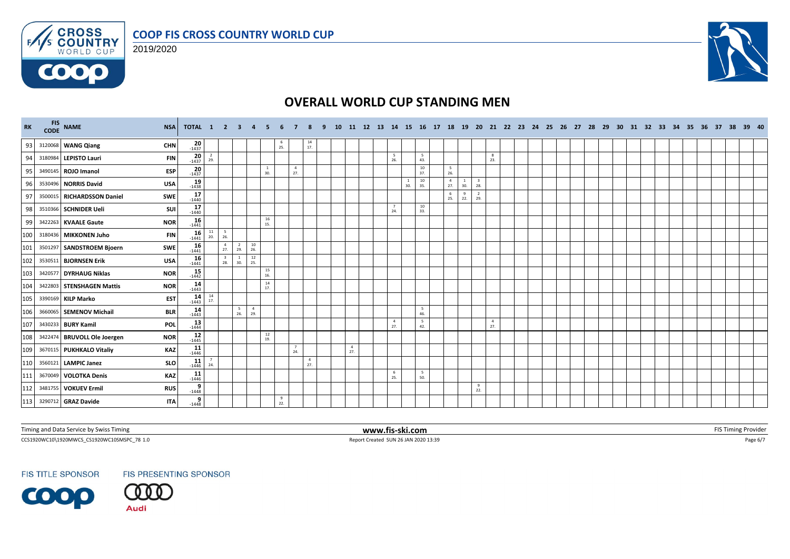





| RK  | FIS NAME                    | <b>NSA</b> | TOTAL 1 2 3 4         |           |                                |                       |                       |                     |                |                       |                       | <b>10</b> |                       |  |                       |                     |            |                       |                       |                                |                       |  |  |  |  |  |  | 11 12 13 14 15 16 17 18 19 20 21 22 23 24 25 26 27 28 29 30 31 32 33 34 35 36 37 38 39 40 |  |  |
|-----|-----------------------------|------------|-----------------------|-----------|--------------------------------|-----------------------|-----------------------|---------------------|----------------|-----------------------|-----------------------|-----------|-----------------------|--|-----------------------|---------------------|------------|-----------------------|-----------------------|--------------------------------|-----------------------|--|--|--|--|--|--|-------------------------------------------------------------------------------------------|--|--|
| 93  | 3120068 WANG Qiang          | <b>CHN</b> | $20 - 1437$           |           |                                |                       |                       |                     | $\frac{6}{25}$ |                       | $\frac{14}{17}$       |           |                       |  |                       |                     |            |                       |                       |                                |                       |  |  |  |  |  |  |                                                                                           |  |  |
| 94  | 3180984 LEPISTO Lauri       | <b>FIN</b> | $20 - 1437$           | 2<br>29.  |                                |                       |                       |                     |                |                       |                       |           |                       |  | - 5<br>26.            |                     | 5<br>43.   |                       |                       |                                | 8<br>23.              |  |  |  |  |  |  |                                                                                           |  |  |
| 95  | 3490145 ROJO Imanol         | ESP        | 20<br>$-1437$         |           |                                |                       |                       | <sup>1</sup><br>30. |                | $\overline{4}$<br>27. |                       |           |                       |  |                       |                     | 10<br>37.  | -5<br>26.             |                       |                                |                       |  |  |  |  |  |  |                                                                                           |  |  |
| 96  | 3530496 NORRIS David        | <b>USA</b> | $19\n1438$            |           |                                |                       |                       |                     |                |                       |                       |           |                       |  |                       | <sup>1</sup><br>30. | 10<br>35.  | $\overline{4}$<br>27. | $\overline{1}$<br>30. | $\overline{\mathbf{3}}$<br>28. |                       |  |  |  |  |  |  |                                                                                           |  |  |
| 97  | 3500015 RICHARDSSON Daniel  | SWE        | $17 - 1440$           |           |                                |                       |                       |                     |                |                       |                       |           |                       |  |                       |                     |            | - 6<br>25.            | 9<br>22.              | $\overline{2}$<br>29.          |                       |  |  |  |  |  |  |                                                                                           |  |  |
| 98  | 3510366   SCHNIDER Ueli     | SUI        | 17<br>$-1440$         |           |                                |                       |                       |                     |                |                       |                       |           |                       |  | 7<br>24.              |                     | 10<br>33.  |                       |                       |                                |                       |  |  |  |  |  |  |                                                                                           |  |  |
| 99  | 3422263 KVAALE Gaute        | <b>NOR</b> | $16 - 1441$           |           |                                |                       |                       | 16<br>15.           |                |                       |                       |           |                       |  |                       |                     |            |                       |                       |                                |                       |  |  |  |  |  |  |                                                                                           |  |  |
| 100 | 3180436 MIKKONEN Juho       | <b>FIN</b> | $16 - 1441$           | 11<br>20. | $5\overline{5}$<br>26.         |                       |                       |                     |                |                       |                       |           |                       |  |                       |                     |            |                       |                       |                                |                       |  |  |  |  |  |  |                                                                                           |  |  |
| 101 | 3501297 SANDSTROEM Bjoern   | SWE        | 16<br>$-1441$         |           | $\frac{4}{27}$                 | $\overline{2}$<br>29. | $\frac{10}{26}$       |                     |                |                       |                       |           |                       |  |                       |                     |            |                       |                       |                                |                       |  |  |  |  |  |  |                                                                                           |  |  |
| 102 | 3530511 BJORNSEN Erik       | <b>USA</b> | 16<br>$-1441$         |           | $\overline{\mathbf{3}}$<br>28. | 30.                   | $\frac{12}{25}$       |                     |                |                       |                       |           |                       |  |                       |                     |            |                       |                       |                                |                       |  |  |  |  |  |  |                                                                                           |  |  |
| 103 | 3420577 DYRHAUG Niklas      | <b>NOR</b> | $15 - 1442$           |           |                                |                       |                       | 15<br>16.           |                |                       |                       |           |                       |  |                       |                     |            |                       |                       |                                |                       |  |  |  |  |  |  |                                                                                           |  |  |
| 104 | 3422803 STENSHAGEN Mattis   | <b>NOR</b> | $14$<br>-1443         |           |                                |                       |                       | 14<br>17.           |                |                       |                       |           |                       |  |                       |                     |            |                       |                       |                                |                       |  |  |  |  |  |  |                                                                                           |  |  |
| 105 | 3390169 KILP Marko          | <b>EST</b> | $14 - 1443$           | 14<br>17. |                                |                       |                       |                     |                |                       |                       |           |                       |  |                       |                     |            |                       |                       |                                |                       |  |  |  |  |  |  |                                                                                           |  |  |
| 106 | 3660065 SEMENOV Michail     | <b>BLR</b> | $14$<br>$1443$        |           |                                | 5<br>26.              | $\overline{4}$<br>29. |                     |                |                       |                       |           |                       |  |                       |                     | -5<br>46.  |                       |                       |                                |                       |  |  |  |  |  |  |                                                                                           |  |  |
| 107 | 3430233 BURY Kamil          | <b>POL</b> | $13 - 1444$           |           |                                |                       |                       |                     |                |                       |                       |           |                       |  | $\overline{4}$<br>27. |                     | - 5<br>42. |                       |                       |                                | $\overline{4}$<br>27. |  |  |  |  |  |  |                                                                                           |  |  |
| 108 | 3422474 BRUVOLL Ole Joergen | <b>NOR</b> | $12 - 1445$           |           |                                |                       |                       | 12<br>19.           |                |                       |                       |           |                       |  |                       |                     |            |                       |                       |                                |                       |  |  |  |  |  |  |                                                                                           |  |  |
| 109 | 3670115 PUKHKALO Vitaliy    | <b>KAZ</b> | $11$ <sub>-1446</sub> |           |                                |                       |                       |                     |                | $\overline{7}$<br>24. |                       |           | $\overline{4}$<br>27. |  |                       |                     |            |                       |                       |                                |                       |  |  |  |  |  |  |                                                                                           |  |  |
| 110 | 3560121 LAMPIC Janez        | SLO        | $11$ <sub>-1446</sub> | 24.       |                                |                       |                       |                     |                |                       | $\overline{4}$<br>27. |           |                       |  |                       |                     |            |                       |                       |                                |                       |  |  |  |  |  |  |                                                                                           |  |  |
| 111 | 3670049 VOLOTKA Denis       | <b>KAZ</b> | $\frac{11}{1446}$     |           |                                |                       |                       |                     |                |                       |                       |           |                       |  | 6<br>25.              |                     | 5<br>50.   |                       |                       |                                |                       |  |  |  |  |  |  |                                                                                           |  |  |
| 112 | 3481755 VOKUEV Ermil        | <b>RUS</b> | $\frac{9}{-1448}$     |           |                                |                       |                       |                     |                |                       |                       |           |                       |  |                       |                     |            |                       |                       | 9<br>22.                       |                       |  |  |  |  |  |  |                                                                                           |  |  |
|     | 113 3290712 GRAZ Davide     | <b>ITA</b> | 9<br>$-1448$          |           |                                |                       |                       |                     | 9<br>22.       |                       |                       |           |                       |  |                       |                     |            |                       |                       |                                |                       |  |  |  |  |  |  |                                                                                           |  |  |

Timing and Data Service by Swiss Timing **EXTIMING 2008 WWW.fis-ski.com WWW.fis-ski.com** FIS Timing Provider

CCS1920WC10\1920MWCS\_CS1920WC10SMSPC\_78 1.0 Report Created SUN 26 JAN 2020 13:39 Page 6/7

**FIS TITLE SPONSOR** 

**COOP** 



**Audi**